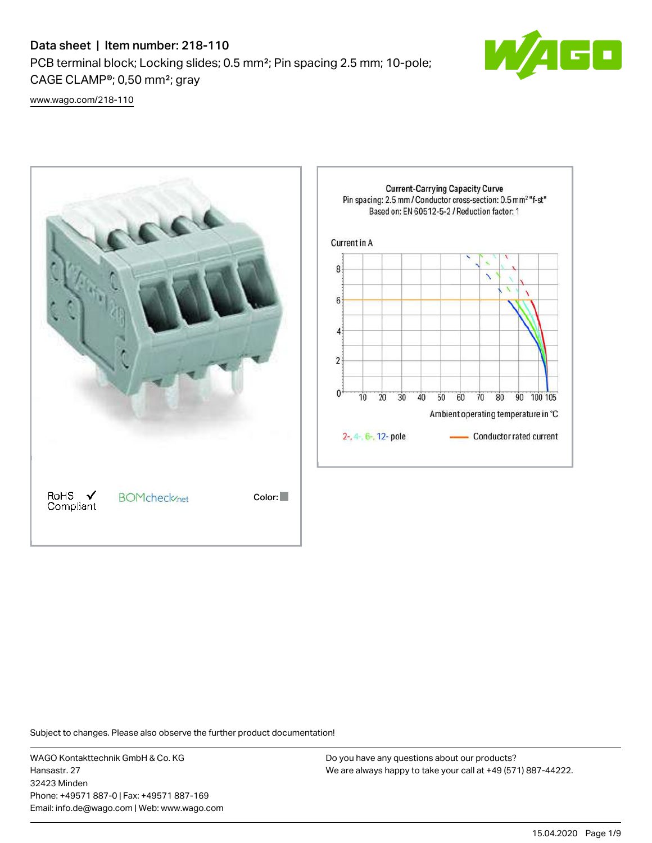## Data sheet | Item number: 218-110

PCB terminal block; Locking slides; 0.5 mm²; Pin spacing 2.5 mm; 10-pole; CAGE CLAMP®; 0,50 mm²; gray



[www.wago.com/218-110](http://www.wago.com/218-110)



Subject to changes. Please also observe the further product documentation!

WAGO Kontakttechnik GmbH & Co. KG Hansastr. 27 32423 Minden Phone: +49571 887-0 | Fax: +49571 887-169 Email: info.de@wago.com | Web: www.wago.com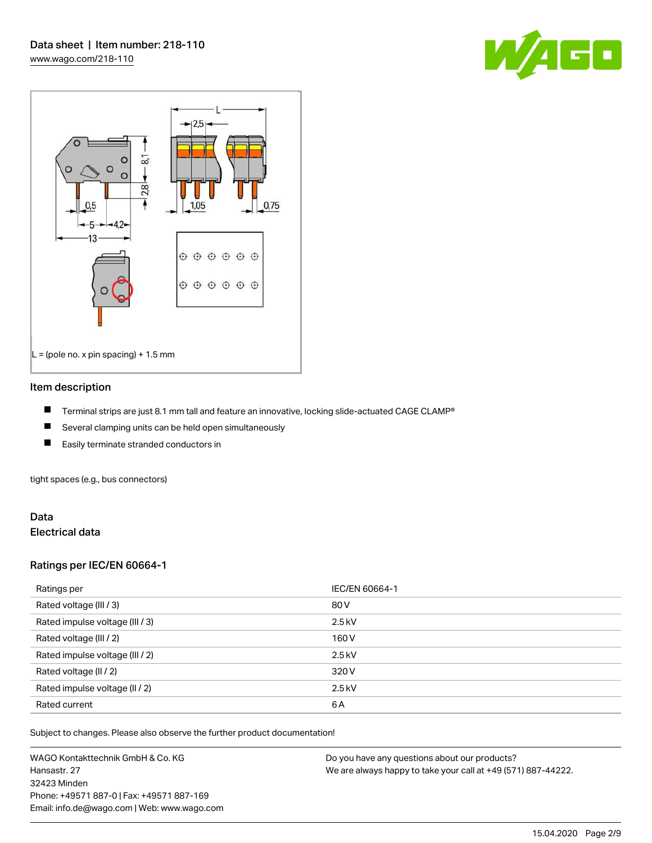



#### Item description

- П Terminal strips are just 8.1 mm tall and feature an innovative, locking slide-actuated CAGE CLAMP®
- $\blacksquare$ Several clamping units can be held open simultaneously
- П Easily terminate stranded conductors in

tight spaces (e.g., bus connectors)

#### Data Electrical data

### Ratings per IEC/EN 60664-1

| Ratings per                     | IEC/EN 60664-1 |
|---------------------------------|----------------|
| Rated voltage (III / 3)         | 80 V           |
| Rated impulse voltage (III / 3) | $2.5$ kV       |
| Rated voltage (III / 2)         | 160 V          |
| Rated impulse voltage (III / 2) | $2.5$ kV       |
| Rated voltage (II / 2)          | 320 V          |
| Rated impulse voltage (II / 2)  | $2.5$ kV       |
| Rated current                   | 6A             |

Subject to changes. Please also observe the further product documentation!

WAGO Kontakttechnik GmbH & Co. KG Hansastr. 27 32423 Minden Phone: +49571 887-0 | Fax: +49571 887-169 Email: info.de@wago.com | Web: www.wago.com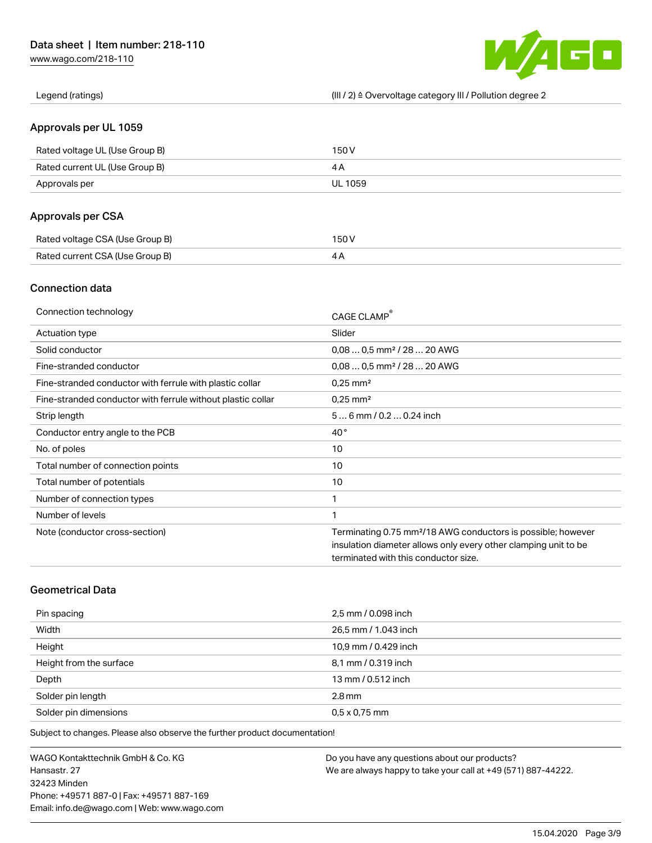[www.wago.com/218-110](http://www.wago.com/218-110)



Legend (ratings) (III / 2) ≙ Overvoltage category III / Pollution degree 2

### Approvals per UL 1059

| Rated voltage UL (Use Group B) | 150 V   |
|--------------------------------|---------|
| Rated current UL (Use Group B) |         |
| Approvals per                  | UL 1059 |

## Approvals per CSA

| Rated voltage CSA (Use Group B) | 150 V |
|---------------------------------|-------|
| Rated current CSA (Use Group B) |       |

## Connection data

| Connection technology                                       | CAGE CLAMP®                                                              |
|-------------------------------------------------------------|--------------------------------------------------------------------------|
| Actuation type                                              | Slider                                                                   |
| Solid conductor                                             | $0.080.5$ mm <sup>2</sup> / 28  20 AWG                                   |
| Fine-stranded conductor                                     | $0.080.5$ mm <sup>2</sup> / 28  20 AWG                                   |
| Fine-stranded conductor with ferrule with plastic collar    | $0.25$ mm <sup>2</sup>                                                   |
| Fine-stranded conductor with ferrule without plastic collar | $0.25$ mm <sup>2</sup>                                                   |
| Strip length                                                | $56$ mm $/ 0.20.24$ inch                                                 |
| Conductor entry angle to the PCB                            | $40^{\circ}$                                                             |
| No. of poles                                                | 10                                                                       |
| Total number of connection points                           | 10                                                                       |
| Total number of potentials                                  | 10                                                                       |
| Number of connection types                                  | 1                                                                        |
| Number of levels                                            | 1                                                                        |
| Note (conductor cross-section)                              | Terminating 0.75 mm <sup>2</sup> /18 AWG conductors is possible; however |
|                                                             | insulation diameter allows only every other clamping unit to be          |
|                                                             | terminated with this conductor size.                                     |

## Geometrical Data

| Pin spacing             | 2,5 mm / 0.098 inch  |
|-------------------------|----------------------|
| Width                   | 26,5 mm / 1.043 inch |
| Height                  | 10,9 mm / 0.429 inch |
| Height from the surface | 8,1 mm / 0.319 inch  |
| Depth                   | 13 mm / 0.512 inch   |
| Solder pin length       | $2.8$ mm             |
| Solder pin dimensions   | $0.5 \times 0.75$ mm |

Subject to changes. Please also observe the further product documentation!

WAGO Kontakttechnik GmbH & Co. KG Hansastr. 27 32423 Minden Phone: +49571 887-0 | Fax: +49571 887-169 Email: info.de@wago.com | Web: www.wago.com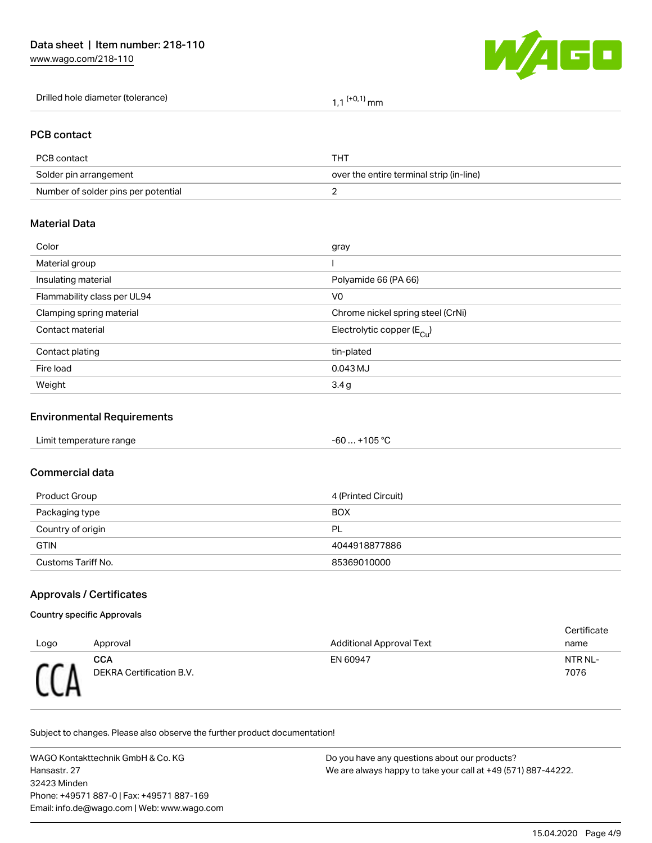[www.wago.com/218-110](http://www.wago.com/218-110)



| Drilled hole diameter (tolerance) | $(0.1)$ mm |
|-----------------------------------|------------|
|                                   |            |

#### PCB contact

| PCB contact                         | THT                                      |
|-------------------------------------|------------------------------------------|
| Solder pin arrangement              | over the entire terminal strip (in-line) |
| Number of solder pins per potential |                                          |

### Material Data

| Color                       | gray                                   |
|-----------------------------|----------------------------------------|
| Material group              |                                        |
| Insulating material         | Polyamide 66 (PA 66)                   |
| Flammability class per UL94 | V <sub>0</sub>                         |
| Clamping spring material    | Chrome nickel spring steel (CrNi)      |
| Contact material            | Electrolytic copper (E <sub>Cu</sub> ) |
| Contact plating             | tin-plated                             |
| Fire load                   | 0.043 MJ                               |
| Weight                      | 3.4 g                                  |
|                             |                                        |

## Environmental Requirements

#### Commercial data

| Product Group      | 4 (Printed Circuit) |
|--------------------|---------------------|
| Packaging type     | <b>BOX</b>          |
| Country of origin  | PL                  |
| <b>GTIN</b>        | 4044918877886       |
| Customs Tariff No. | 85369010000         |

## Approvals / Certificates

#### Country specific Approvals

| Logo       | Approval                        | <b>Additional Approval Text</b> | Certificate<br>name |
|------------|---------------------------------|---------------------------------|---------------------|
| <b>CCD</b> | CCA<br>DEKRA Certification B.V. | EN 60947                        | NTR NL-<br>7076     |

Subject to changes. Please also observe the further product documentation!

WAGO Kontakttechnik GmbH & Co. KG Hansastr. 27 32423 Minden Phone: +49571 887-0 | Fax: +49571 887-169 Email: info.de@wago.com | Web: www.wago.com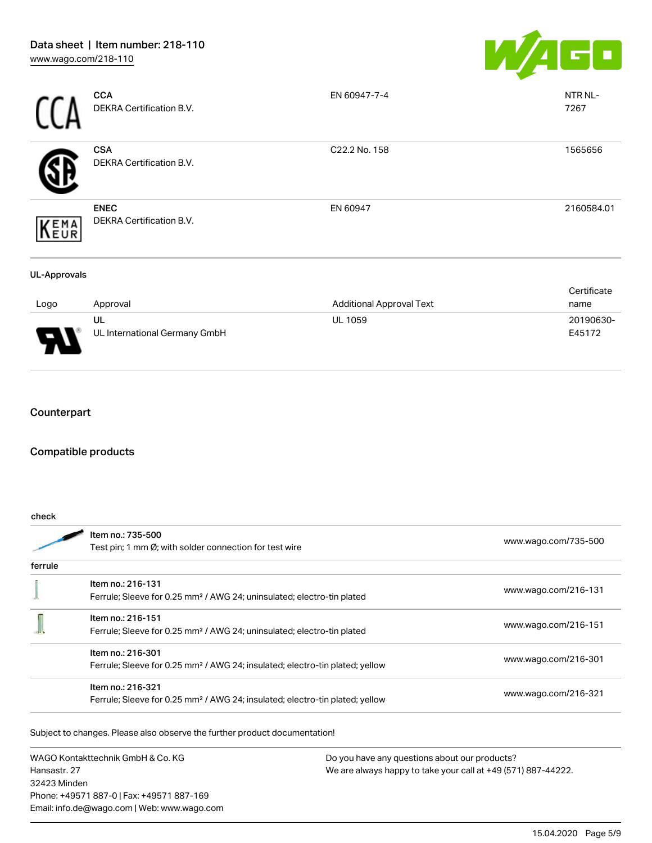

|                     | <b>CCA</b><br>DEKRA Certification B.V.         | EN 60947-7-4                    | NTR NL-<br>7267     |
|---------------------|------------------------------------------------|---------------------------------|---------------------|
|                     | <b>CSA</b><br>DEKRA Certification B.V.         | C22.2 No. 158                   | 1565656             |
| KEMA                | <b>ENEC</b><br><b>DEKRA Certification B.V.</b> | EN 60947                        | 2160584.01          |
| <b>UL-Approvals</b> |                                                |                                 |                     |
| Logo                | Approval                                       | <b>Additional Approval Text</b> | Certificate<br>name |
|                     | UL<br>UL International Germany GmbH            | <b>UL 1059</b>                  | 20190630-<br>E45172 |

## Counterpart

## Compatible products

|         | Item no.: 735-500                                                                        |                      |  |
|---------|------------------------------------------------------------------------------------------|----------------------|--|
|         | Test pin; 1 mm Ø; with solder connection for test wire                                   | www.wago.com/735-500 |  |
| ferrule |                                                                                          |                      |  |
|         | Item no.: 216-131                                                                        |                      |  |
|         | Ferrule; Sleeve for 0.25 mm <sup>2</sup> / AWG 24; uninsulated; electro-tin plated       | www.wago.com/216-131 |  |
|         | Item no.: 216-151                                                                        |                      |  |
|         | Ferrule; Sleeve for 0.25 mm <sup>2</sup> / AWG 24; uninsulated; electro-tin plated       | www.wago.com/216-151 |  |
|         | Item no.: 216-301                                                                        |                      |  |
|         | Ferrule; Sleeve for 0.25 mm <sup>2</sup> / AWG 24; insulated; electro-tin plated; yellow | www.wago.com/216-301 |  |
|         | Item no.: 216-321                                                                        |                      |  |
|         | Ferrule; Sleeve for 0.25 mm <sup>2</sup> / AWG 24; insulated; electro-tin plated; yellow | www.wago.com/216-321 |  |

Subject to changes. Please also observe the further product documentation!

WAGO Kontakttechnik GmbH & Co. KG Hansastr. 27 32423 Minden Phone: +49571 887-0 | Fax: +49571 887-169 Email: info.de@wago.com | Web: www.wago.com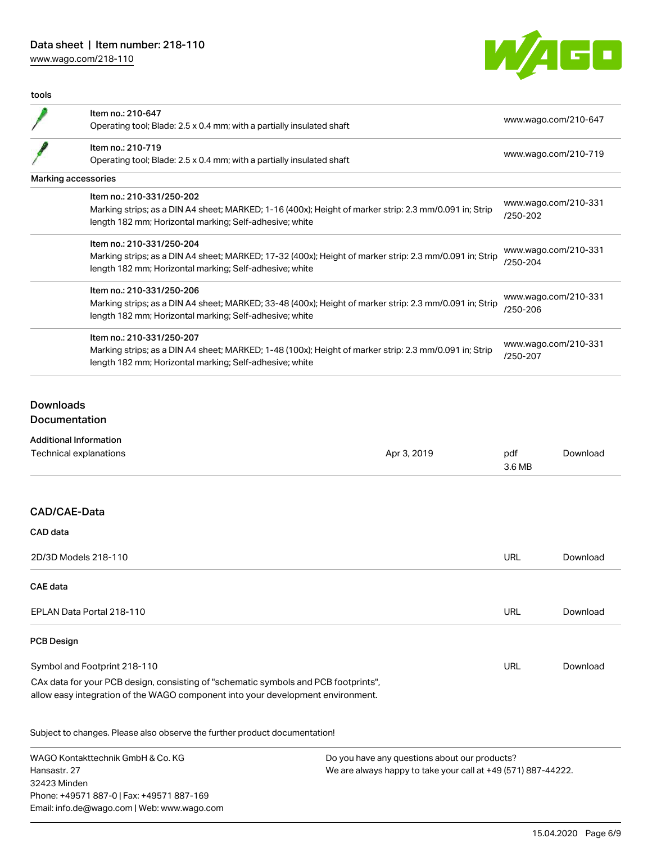## Data sheet | Item number: 218-110

[www.wago.com/218-110](http://www.wago.com/218-110)



| Marking strips; as a DIN A4 sheet; MARKED; 1-16 (400x); Height of marker strip: 2.3 mm/0.091 in; Strip<br>Marking strips; as a DIN A4 sheet; MARKED; 17-32 (400x); Height of marker strip: 2.3 mm/0.091 in; Strip<br>Marking strips; as a DIN A4 sheet; MARKED; 33-48 (400x); Height of marker strip: 2.3 mm/0.091 in; Strip<br>Marking strips; as a DIN A4 sheet; MARKED; 1-48 (100x); Height of marker strip: 2.3 mm/0.091 in; Strip | www.wago.com/210-647<br>www.wago.com/210-719<br>www.wago.com/210-331<br>/250-202<br>www.wago.com/210-331<br>/250-204<br>www.wago.com/210-331<br>/250-206<br>www.wago.com/210-331<br>/250-207 |                          |
|----------------------------------------------------------------------------------------------------------------------------------------------------------------------------------------------------------------------------------------------------------------------------------------------------------------------------------------------------------------------------------------------------------------------------------------|----------------------------------------------------------------------------------------------------------------------------------------------------------------------------------------------|--------------------------|
|                                                                                                                                                                                                                                                                                                                                                                                                                                        |                                                                                                                                                                                              |                          |
|                                                                                                                                                                                                                                                                                                                                                                                                                                        |                                                                                                                                                                                              |                          |
|                                                                                                                                                                                                                                                                                                                                                                                                                                        |                                                                                                                                                                                              |                          |
|                                                                                                                                                                                                                                                                                                                                                                                                                                        |                                                                                                                                                                                              |                          |
|                                                                                                                                                                                                                                                                                                                                                                                                                                        |                                                                                                                                                                                              |                          |
|                                                                                                                                                                                                                                                                                                                                                                                                                                        |                                                                                                                                                                                              |                          |
|                                                                                                                                                                                                                                                                                                                                                                                                                                        |                                                                                                                                                                                              |                          |
|                                                                                                                                                                                                                                                                                                                                                                                                                                        |                                                                                                                                                                                              |                          |
| Apr 3, 2019                                                                                                                                                                                                                                                                                                                                                                                                                            | pdf<br>3.6 MB                                                                                                                                                                                | Download                 |
|                                                                                                                                                                                                                                                                                                                                                                                                                                        |                                                                                                                                                                                              |                          |
|                                                                                                                                                                                                                                                                                                                                                                                                                                        |                                                                                                                                                                                              |                          |
|                                                                                                                                                                                                                                                                                                                                                                                                                                        | URL                                                                                                                                                                                          | Download                 |
|                                                                                                                                                                                                                                                                                                                                                                                                                                        |                                                                                                                                                                                              |                          |
|                                                                                                                                                                                                                                                                                                                                                                                                                                        |                                                                                                                                                                                              | Download                 |
|                                                                                                                                                                                                                                                                                                                                                                                                                                        |                                                                                                                                                                                              |                          |
|                                                                                                                                                                                                                                                                                                                                                                                                                                        |                                                                                                                                                                                              | Download                 |
|                                                                                                                                                                                                                                                                                                                                                                                                                                        |                                                                                                                                                                                              | <b>URL</b><br><b>URL</b> |

Subject to changes. Please also observe the further product documentation!

WAGO Kontakttechnik GmbH & Co. KG Hansastr. 27 32423 Minden Phone: +49571 887-0 | Fax: +49571 887-169 Email: info.de@wago.com | Web: www.wago.com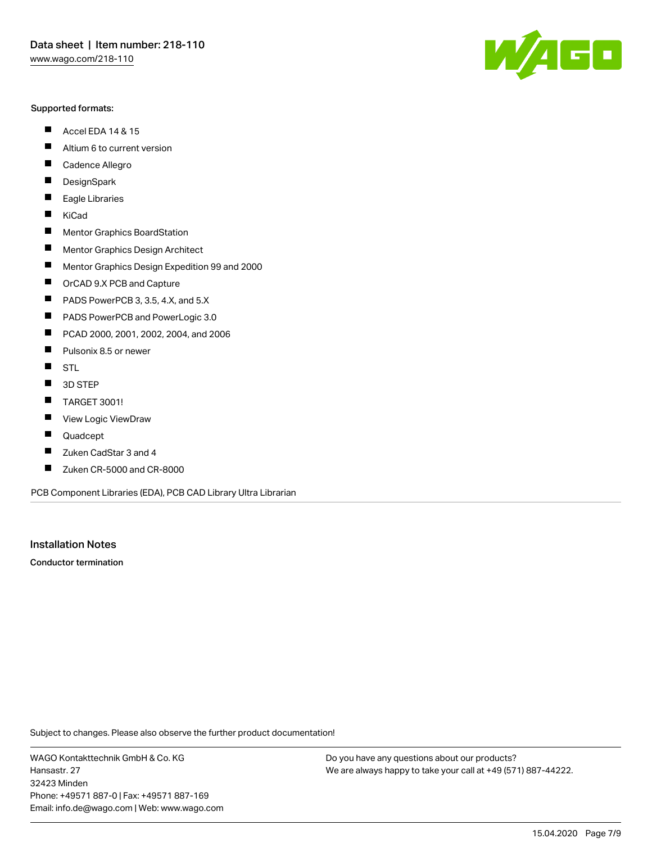#### Supported formats:

- $\blacksquare$ Accel EDA 14 & 15
- $\blacksquare$ Altium 6 to current version
- $\blacksquare$ Cadence Allegro
- $\blacksquare$ **DesignSpark**
- $\blacksquare$ Eagle Libraries
- $\blacksquare$ KiCad
- $\blacksquare$ Mentor Graphics BoardStation
- $\blacksquare$ Mentor Graphics Design Architect
- $\blacksquare$ Mentor Graphics Design Expedition 99 and 2000
- $\blacksquare$ OrCAD 9.X PCB and Capture
- $\blacksquare$ PADS PowerPCB 3, 3.5, 4.X, and 5.X
- $\blacksquare$ PADS PowerPCB and PowerLogic 3.0
- $\blacksquare$ PCAD 2000, 2001, 2002, 2004, and 2006
- $\blacksquare$ Pulsonix 8.5 or newer
- $\blacksquare$ STL
- 3D STEP П
- П TARGET 3001!
- $\blacksquare$ View Logic ViewDraw
- П Quadcept
- $\blacksquare$ Zuken CadStar 3 and 4
- Zuken CR-5000 and CR-8000 П

PCB Component Libraries (EDA), PCB CAD Library Ultra Librarian

Installation Notes

Conductor termination

Subject to changes. Please also observe the further product documentation!

WAGO Kontakttechnik GmbH & Co. KG Hansastr. 27 32423 Minden Phone: +49571 887-0 | Fax: +49571 887-169 Email: info.de@wago.com | Web: www.wago.com

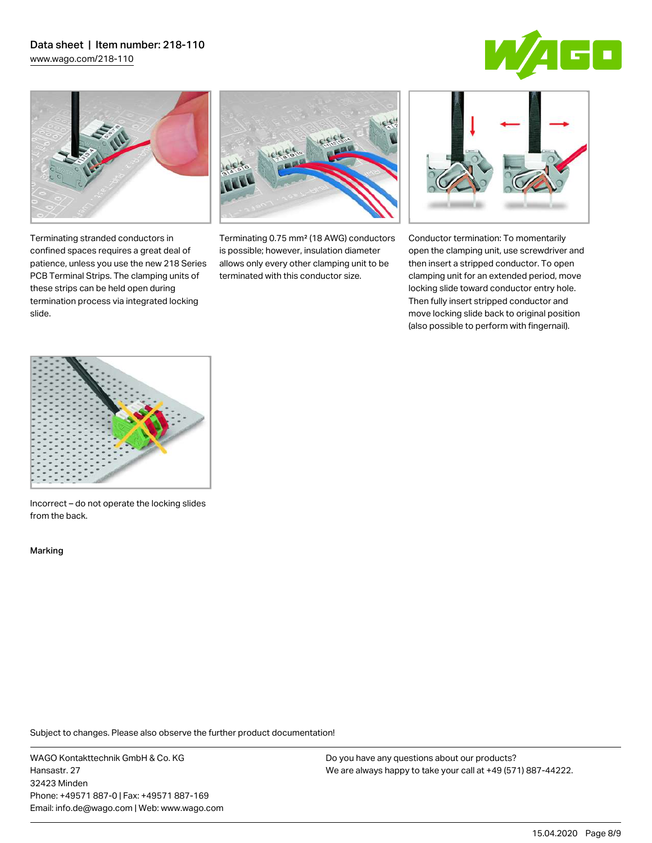# Data sheet | Item number: 218-110

[www.wago.com/218-110](http://www.wago.com/218-110)





Terminating stranded conductors in confined spaces requires a great deal of patience, unless you use the new 218 Series PCB Terminal Strips. The clamping units of these strips can be held open during termination process via integrated locking

Terminating 0.75 mm² (18 AWG) conductors is possible; however, insulation diameter allows only every other clamping unit to be terminated with this conductor size.



Conductor termination: To momentarily open the clamping unit, use screwdriver and then insert a stripped conductor. To open clamping unit for an extended period, move locking slide toward conductor entry hole. Then fully insert stripped conductor and move locking slide back to original position (also possible to perform with fingernail).



Incorrect – do not operate the locking slides from the back.

Marking

slide.

Subject to changes. Please also observe the further product documentation!

WAGO Kontakttechnik GmbH & Co. KG Hansastr. 27 32423 Minden Phone: +49571 887-0 | Fax: +49571 887-169 Email: info.de@wago.com | Web: www.wago.com